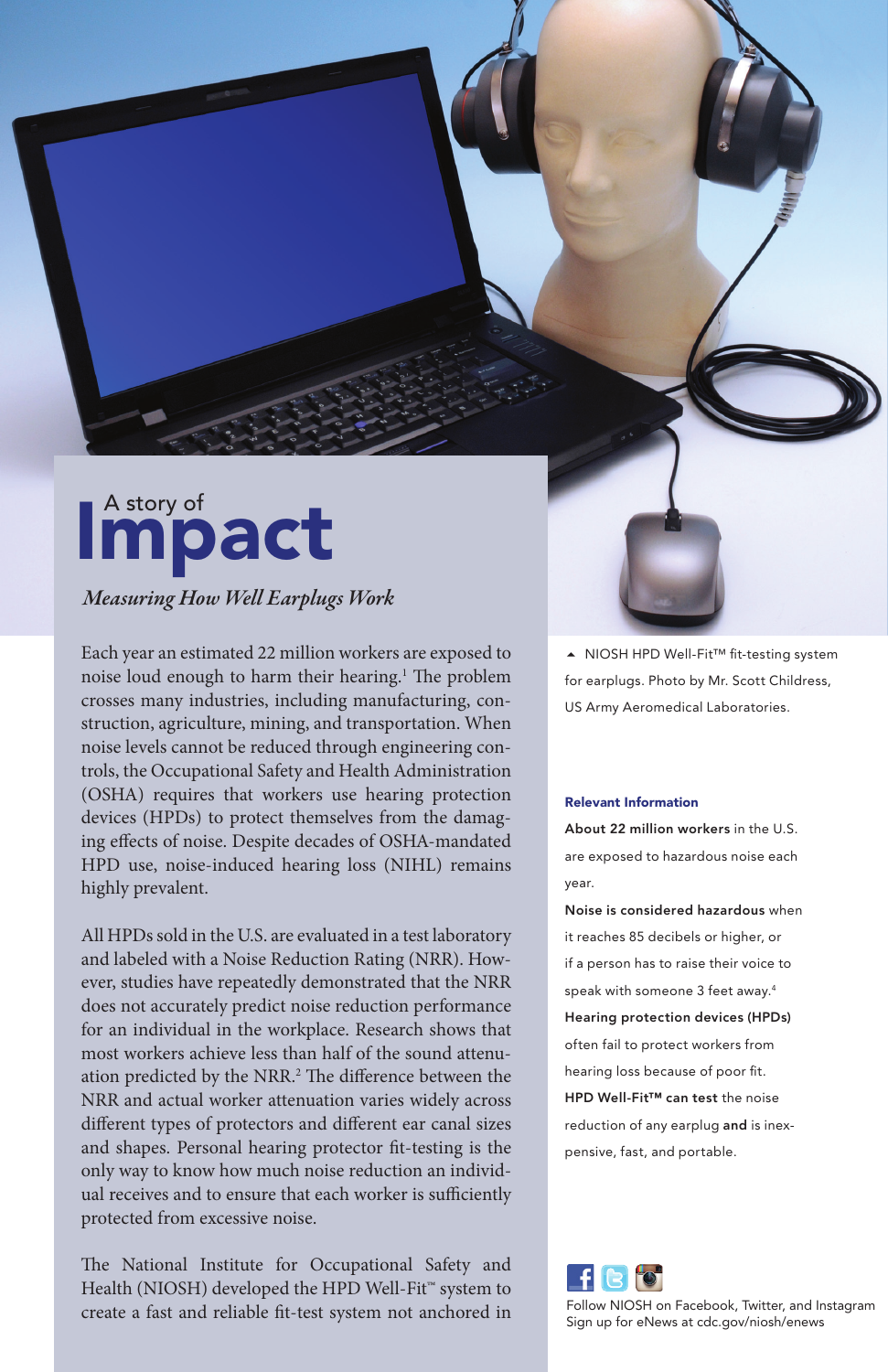# A story of **act**

## *Measuring How Well Earplugs Work*

Each year an estimated 22 million workers are exposed to noise loud enough to harm their hearing.1 The problem crosses many industries, including manufacturing, construction, agriculture, mining, and transportation. When noise levels cannot be reduced through engineering controls, the Occupational Safety and Health Administration (OSHA) requires that workers use hearing protection devices (HPDs) to protect themselves from the damaging effects of noise. Despite decades of OSHA-mandated HPD use, noise-induced hearing loss (NIHL) remains highly prevalent.

All HPDs sold in the U.S. are evaluated in a test laboratory and labeled with a Noise Reduction Rating (NRR). However, studies have repeatedly demonstrated that the NRR does not accurately predict noise reduction performance for an individual in the workplace. Research shows that most workers achieve less than half of the sound attenuation predicted by the NRR.<sup>2</sup> The difference between the NRR and actual worker attenuation varies widely across different types of protectors and different ear canal sizes and shapes. Personal hearing protector fit-testing is the only way to know how much noise reduction an individual receives and to ensure that each worker is sufficiently protected from excessive noise.

The National Institute for Occupational Safety and Health (NIOSH) developed the HPD Well-Fit<sup>™</sup> system to create a fast and reliable fit-test system not anchored in ▲ NIOSH HPD Well-Fit™ fit-testing system for earplugs. Photo by Mr. Scott Childress, US Army Aeromedical Laboratories.

#### Relevant Information

About 22 million workers in the U.S. are exposed to hazardous noise each year.

Noise is considered hazardous when it reaches 85 decibels or higher, or if a person has to raise their voice to speak with someone 3 feet away.4 Hearing protection devices (HPDs) often fail to protect workers from hearing loss because of poor fit. HPD Well-Fit™ can test the noise reduction of any earplug and is inexpensive, fast, and portable.



Follow NIOSH on Facebook, Twitter, and Instagram Sign up for eNews at cdc.gov/niosh/enews